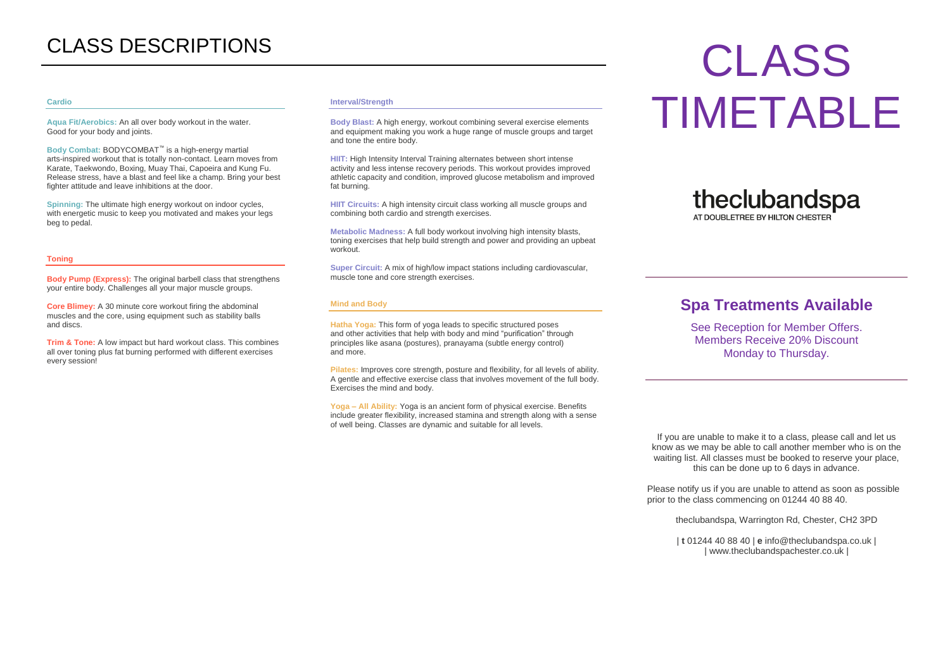#### **Cardio**

**Aqua Fit/Aerobics:** An all over body workout in the water. Good for your body and joints.

**Body Combat:** BODYCOMBAT™ is a high-energy martial arts-inspired workout that is totally non-contact. Learn moves from Karate, Taekwondo, Boxing, Muay Thai, Capoeira and Kung Fu. Release stress, have a blast and feel like a champ. Bring your best fighter attitude and leave inhibitions at the door.

**Spinning:** The ultimate high energy workout on indoor cycles, with energetic music to keep you motivated and makes your legs beg to pedal.

#### **Toning**

**Body Pump (Express):** The original barbell class that strengthens your entire body. Challenges all your major muscle groups.

**Core Blimey:** A 30 minute core workout firing the abdominal muscles and the core, using equipment such as stability balls and discs.

**Trim & Tone:** A low impact but hard workout class. This combines all over toning plus fat burning performed with different exercises every session!

#### **Interval/Strength**

**Body Blast:** A high energy, workout combining several exercise elements and equipment making you work a huge range of muscle groups and target and tone the entire body.

**HIIT:** High Intensity Interval Training alternates between short intense activity and less intense recovery periods. This workout provides improved athletic capacity and condition, improved glucose metabolism and improved fat burning.

**HIIT Circuits:** A high intensity circuit class working all muscle groups and combining both cardio and strength exercises.

**Metabolic Madness:** A full body workout involving high intensity blasts, toning exercises that help build strength and power and providing an upbeat workout.

**Super Circuit:** A mix of high/low impact stations including cardiovascular, muscle tone and core strength exercises.

#### **Mind and Body**

**Hatha Yoga:** This form of yoga leads to specific structured poses and other activities that help with body and mind "purification" through principles like asana (postures), pranayama (subtle energy control) and more.

**Pilates:** Improves core strength, posture and flexibility, for all levels of ability. A gentle and effective exercise class that involves movement of the full body. Exercises the mind and body.

**Yoga – All Ability:** Yoga is an ancient form of physical exercise. Benefits include greater flexibility, increased stamina and strength along with a sense of well being. Classes are dynamic and suitable for all levels.

# CLASS DESCRIPTIONS CLASS TIMETABLE

# theclubandspa AT DOUBLETREE BY HILTON CHESTER

# **Spa Treatments Available**

See Reception for Member Offers. Members Receive 20% Discount Monday to Thursday.

If you are unable to make it to a class, please call and let us know as we may be able to call another member who is on the waiting list. All classes must be booked to reserve your place, this can be done up to 6 days in advance.

Please notify us if you are unable to attend as soon as possible prior to the class commencing on 01244 40 88 40.

theclubandspa, Warrington Rd, Chester, CH2 3PD

| **t** 01244 40 88 40 | **e** info@theclubandspa.co.uk | | www.theclubandspachester.co.uk |